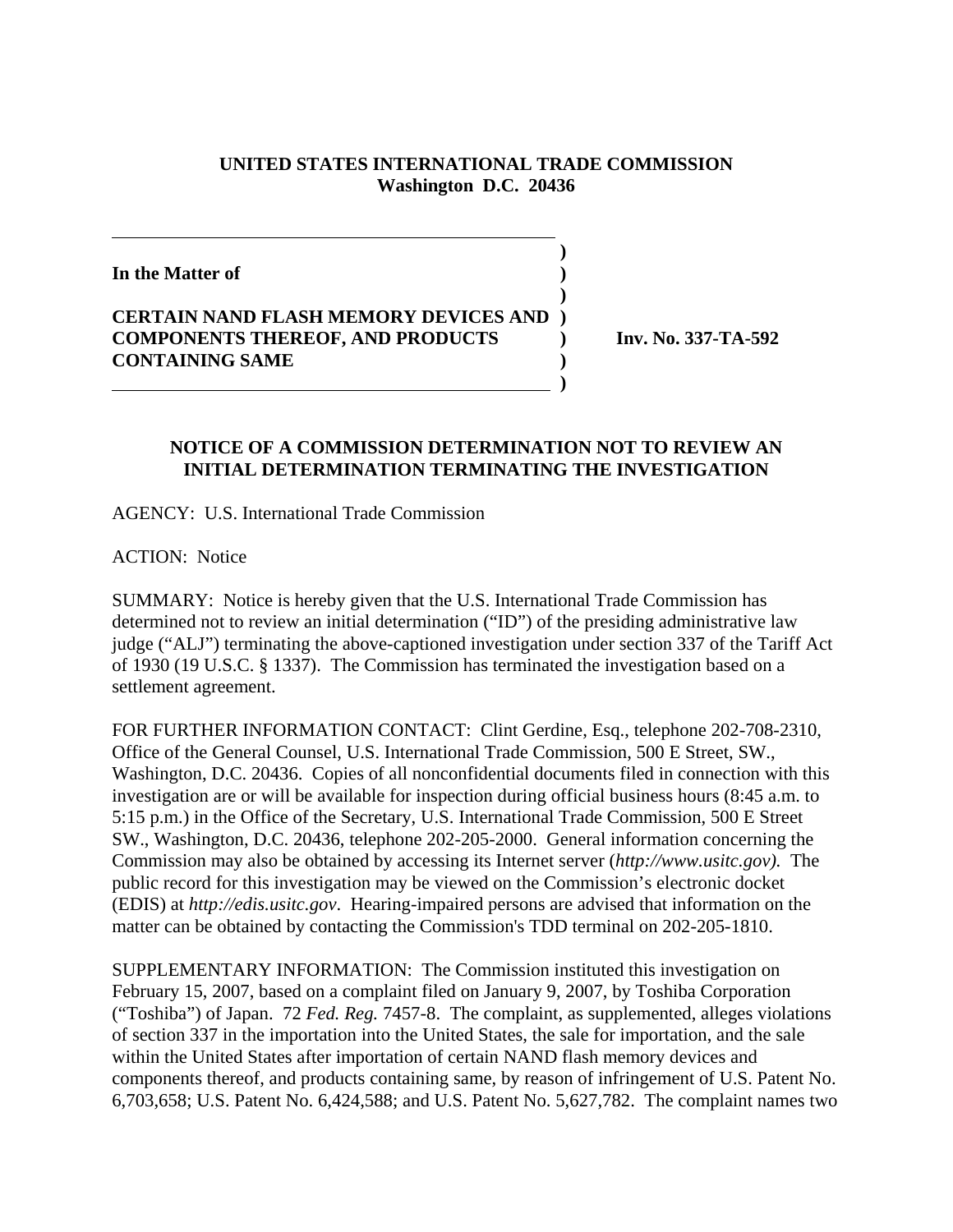## **UNITED STATES INTERNATIONAL TRADE COMMISSION Washington D.C. 20436**

 **)**

**)**

**In the Matter of )**

**CERTAIN NAND FLASH MEMORY DEVICES AND ) COMPONENTS THEREOF, AND PRODUCTS ) Inv. No. 337-TA-592 CONTAINING SAME )**

 **)**

## **NOTICE OF A COMMISSION DETERMINATION NOT TO REVIEW AN INITIAL DETERMINATION TERMINATING THE INVESTIGATION**

AGENCY: U.S. International Trade Commission

ACTION: Notice

SUMMARY: Notice is hereby given that the U.S. International Trade Commission has determined not to review an initial determination ("ID") of the presiding administrative law judge ("ALJ") terminating the above-captioned investigation under section 337 of the Tariff Act of 1930 (19 U.S.C. § 1337). The Commission has terminated the investigation based on a settlement agreement.

FOR FURTHER INFORMATION CONTACT: Clint Gerdine, Esq., telephone 202-708-2310, Office of the General Counsel, U.S. International Trade Commission, 500 E Street, SW., Washington, D.C. 20436. Copies of all nonconfidential documents filed in connection with this investigation are or will be available for inspection during official business hours (8:45 a.m. to 5:15 p.m.) in the Office of the Secretary, U.S. International Trade Commission, 500 E Street SW., Washington, D.C. 20436, telephone 202-205-2000. General information concerning the Commission may also be obtained by accessing its Internet server (*http://www.usitc.gov).* The public record for this investigation may be viewed on the Commission's electronic docket (EDIS) at *http://edis.usitc.gov*. Hearing-impaired persons are advised that information on the matter can be obtained by contacting the Commission's TDD terminal on 202-205-1810.

SUPPLEMENTARY INFORMATION: The Commission instituted this investigation on February 15, 2007, based on a complaint filed on January 9, 2007, by Toshiba Corporation ("Toshiba") of Japan. 72 *Fed. Reg.* 7457-8. The complaint, as supplemented, alleges violations of section 337 in the importation into the United States, the sale for importation, and the sale within the United States after importation of certain NAND flash memory devices and components thereof, and products containing same, by reason of infringement of U.S. Patent No. 6,703,658; U.S. Patent No. 6,424,588; and U.S. Patent No. 5,627,782. The complaint names two